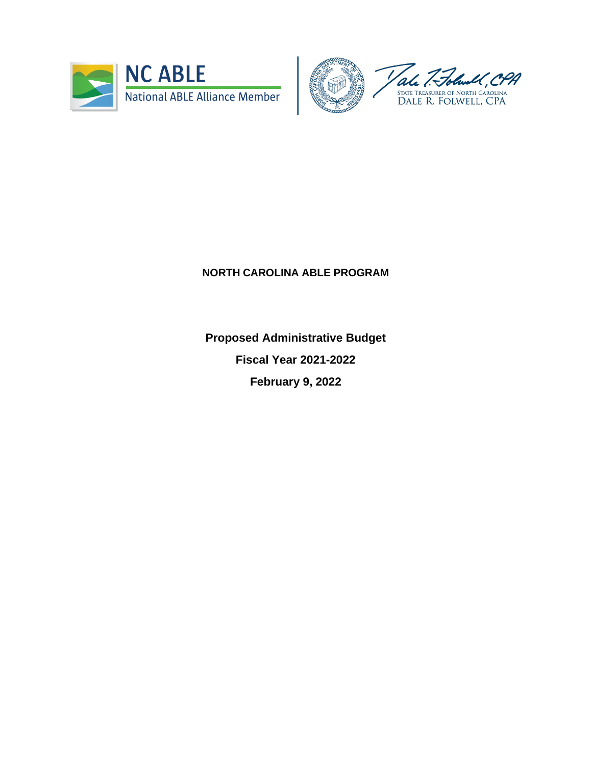



## **NORTH CAROLINA ABLE PROGRAM**

**Proposed Administrative Budget Fiscal Year 2021-2022 February 9, 2022**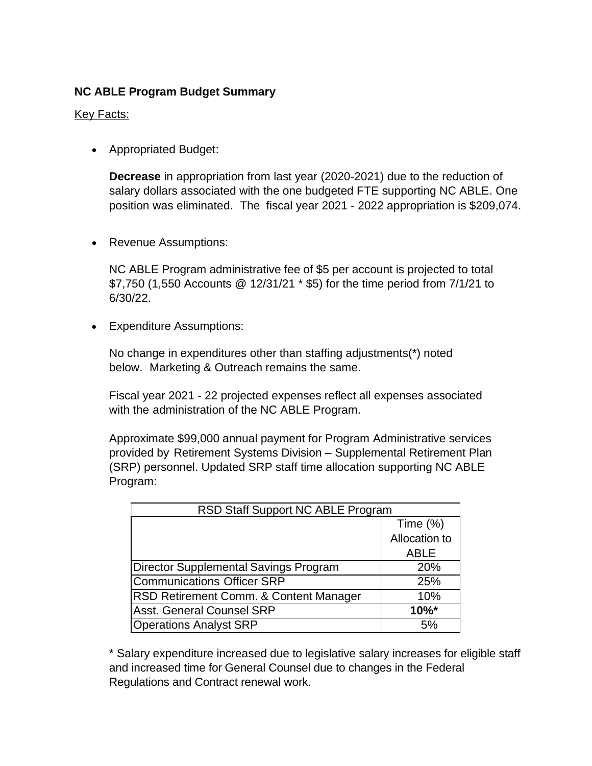## **NC ABLE Program Budget Summary**

## Key Facts:

• Appropriated Budget:

**Decrease** in appropriation from last year (2020-2021) due to the reduction of salary dollars associated with the one budgeted FTE supporting NC ABLE. One position was eliminated. The fiscal year 2021 - 2022 appropriation is \$209,074.

• Revenue Assumptions:

NC ABLE Program administrative fee of \$5 per account is projected to total \$7,750 (1,550 Accounts @ 12/31/21 \* \$5) for the time period from 7/1/21 to 6/30/22.

• Expenditure Assumptions:

No change in expenditures other than staffing adjustments(\*) noted below. Marketing & Outreach remains the same.

Fiscal year 2021 - 22 projected expenses reflect all expenses associated with the administration of the NC ABLE Program.

Approximate \$99,000 annual payment for Program Administrative services provided by Retirement Systems Division – Supplemental Retirement Plan (SRP) personnel. Updated SRP staff time allocation supporting NC ABLE Program:

| RSD Staff Support NC ABLE Program      |               |  |  |  |  |
|----------------------------------------|---------------|--|--|--|--|
|                                        | Time $(\%)$   |  |  |  |  |
|                                        | Allocation to |  |  |  |  |
|                                        | <b>ABLE</b>   |  |  |  |  |
| Director Supplemental Savings Program  | 20%           |  |  |  |  |
| <b>Communications Officer SRP</b>      | 25%           |  |  |  |  |
| RSD Retirement Comm. & Content Manager | 10%           |  |  |  |  |
| <b>Asst. General Counsel SRP</b>       | $10\%$ *      |  |  |  |  |
| <b>Operations Analyst SRP</b>          | 5%            |  |  |  |  |

\* Salary expenditure increased due to legislative salary increases for eligible staff and increased time for General Counsel due to changes in the Federal Regulations and Contract renewal work.